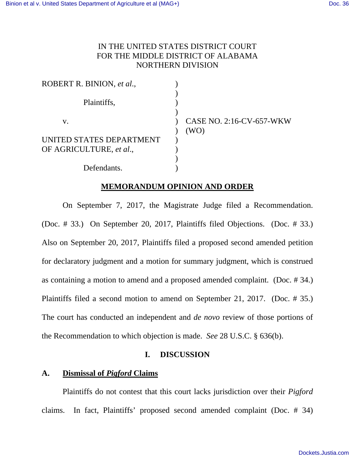# IN THE UNITED STATES DISTRICT COURT FOR THE MIDDLE DISTRICT OF ALABAMA NORTHERN DIVISION

| ROBERT R. BINION, et al., |                                  |
|---------------------------|----------------------------------|
| Plaintiffs,               |                                  |
| V.                        | CASE NO. 2:16-CV-657-WKW<br>(WO) |
| UNITED STATES DEPARTMENT  |                                  |
| OF AGRICULTURE, et al.,   |                                  |
|                           |                                  |
| Defendants.               |                                  |

### **MEMORANDUM OPINION AND ORDER**

 On September 7, 2017, the Magistrate Judge filed a Recommendation. (Doc. # 33.) On September 20, 2017, Plaintiffs filed Objections. (Doc. # 33.) Also on September 20, 2017, Plaintiffs filed a proposed second amended petition for declaratory judgment and a motion for summary judgment, which is construed as containing a motion to amend and a proposed amended complaint. (Doc. # 34.) Plaintiffs filed a second motion to amend on September 21, 2017. (Doc. # 35.) The court has conducted an independent and *de novo* review of those portions of the Recommendation to which objection is made. *See* 28 U.S.C. § 636(b).

### **I. DISCUSSION**

## **A. Dismissal of** *Pigford* **Claims**

 Plaintiffs do not contest that this court lacks jurisdiction over their *Pigford*  claims. In fact, Plaintiffs' proposed second amended complaint (Doc. # 34)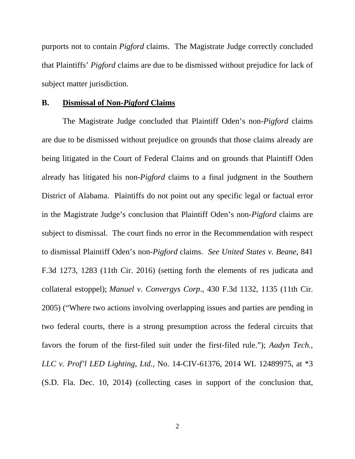purports not to contain *Pigford* claims. The Magistrate Judge correctly concluded that Plaintiffs' *Pigford* claims are due to be dismissed without prejudice for lack of subject matter jurisdiction.

#### **B. Dismissal of Non-***Pigford* **Claims**

 The Magistrate Judge concluded that Plaintiff Oden's non-*Pigford* claims are due to be dismissed without prejudice on grounds that those claims already are being litigated in the Court of Federal Claims and on grounds that Plaintiff Oden already has litigated his non-*Pigford* claims to a final judgment in the Southern District of Alabama. Plaintiffs do not point out any specific legal or factual error in the Magistrate Judge's conclusion that Plaintiff Oden's non-*Pigford* claims are subject to dismissal. The court finds no error in the Recommendation with respect to dismissal Plaintiff Oden's non-*Pigford* claims. *See United States v. Beane*, 841 F.3d 1273, 1283 (11th Cir. 2016) (setting forth the elements of res judicata and collateral estoppel); *Manuel v. Convergys Corp*., 430 F.3d 1132, 1135 (11th Cir. 2005) ("Where two actions involving overlapping issues and parties are pending in two federal courts, there is a strong presumption across the federal circuits that favors the forum of the first-filed suit under the first-filed rule."); *Aadyn Tech., LLC v. Prof'l LED Lighting, Ltd.*, No. 14-CIV-61376, 2014 WL 12489975, at \*3 (S.D. Fla. Dec. 10, 2014) (collecting cases in support of the conclusion that,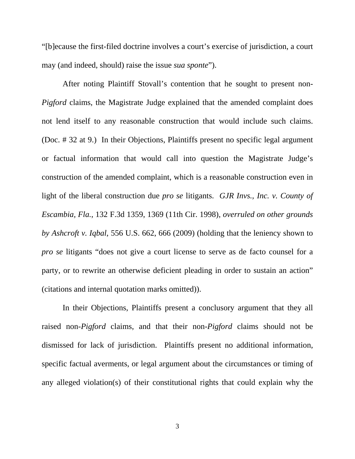"[b]ecause the first-filed doctrine involves a court's exercise of jurisdiction, a court may (and indeed, should) raise the issue *sua sponte*").

 After noting Plaintiff Stovall's contention that he sought to present non-*Pigford* claims, the Magistrate Judge explained that the amended complaint does not lend itself to any reasonable construction that would include such claims. (Doc. # 32 at 9.) In their Objections, Plaintiffs present no specific legal argument or factual information that would call into question the Magistrate Judge's construction of the amended complaint, which is a reasonable construction even in light of the liberal construction due *pro se* litigants. *GJR Invs., Inc. v. County of Escambia, Fla.*, 132 F.3d 1359, 1369 (11th Cir. 1998), *overruled on other grounds by Ashcroft v. Iqbal*, 556 U.S. 662, 666 (2009) (holding that the leniency shown to *pro se* litigants "does not give a court license to serve as de facto counsel for a party, or to rewrite an otherwise deficient pleading in order to sustain an action" (citations and internal quotation marks omitted)).

 In their Objections, Plaintiffs present a conclusory argument that they all raised non-*Pigford* claims, and that their non-*Pigford* claims should not be dismissed for lack of jurisdiction. Plaintiffs present no additional information, specific factual averments, or legal argument about the circumstances or timing of any alleged violation(s) of their constitutional rights that could explain why the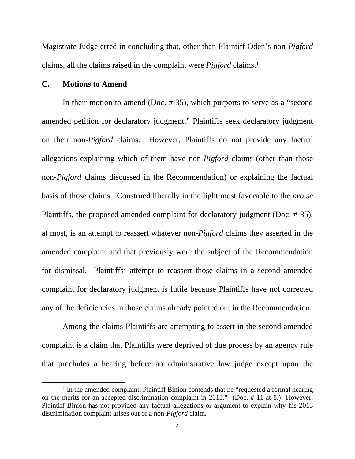Magistrate Judge erred in concluding that, other than Plaintiff Oden's non-*Pigford* claims, all the claims raised in the complaint were *Pigford* claims.<sup>1</sup>

#### **C. Motions to Amend**

 In their motion to amend (Doc. # 35), which purports to serve as a "second amended petition for declaratory judgment," Plaintiffs seek declaratory judgment on their non-*Pigford* claims. However, Plaintiffs do not provide any factual allegations explaining which of them have non-*Pigford* claims (other than those non-*Pigford* claims discussed in the Recommendation) or explaining the factual basis of those claims. Construed liberally in the light most favorable to the *pro se*  Plaintiffs, the proposed amended complaint for declaratory judgment (Doc. # 35), at most, is an attempt to reassert whatever non-*Pigford* claims they asserted in the amended complaint and that previously were the subject of the Recommendation for dismissal. Plaintiffs' attempt to reassert those claims in a second amended complaint for declaratory judgment is futile because Plaintiffs have not corrected any of the deficiencies in those claims already pointed out in the Recommendation.

 Among the claims Plaintiffs are attempting to assert in the second amended complaint is a claim that Plaintiffs were deprived of due process by an agency rule that precludes a hearing before an administrative law judge except upon the

<sup>&</sup>lt;sup>1</sup> In the amended complaint, Plaintiff Binion contends that he "requested a formal hearing on the merits for an accepted discrimination complaint in 2013." (Doc. # 11 at 8.) However, Plaintiff Binion has not provided any factual allegations or argument to explain why his 2013 discrimination complaint arises out of a non-*Pigford* claim.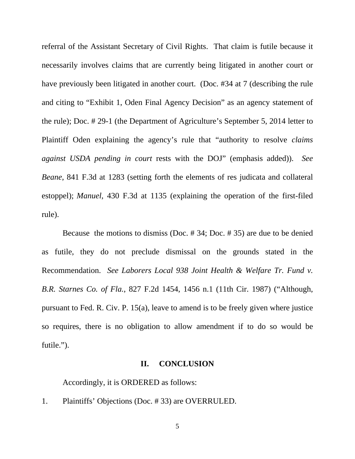referral of the Assistant Secretary of Civil Rights. That claim is futile because it necessarily involves claims that are currently being litigated in another court or have previously been litigated in another court. (Doc. #34 at 7 (describing the rule and citing to "Exhibit 1, Oden Final Agency Decision" as an agency statement of the rule); Doc. # 29-1 (the Department of Agriculture's September 5, 2014 letter to Plaintiff Oden explaining the agency's rule that "authority to resolve *claims against USDA pending in court* rests with the DOJ" (emphasis added)). *See Beane*, 841 F.3d at 1283 (setting forth the elements of res judicata and collateral estoppel); *Manuel*, 430 F.3d at 1135 (explaining the operation of the first-filed rule).

 Because the motions to dismiss (Doc. # 34; Doc. # 35) are due to be denied as futile, they do not preclude dismissal on the grounds stated in the Recommendation. *See Laborers Local 938 Joint Health & Welfare Tr. Fund v. B.R. Starnes Co. of Fla.*, 827 F.2d 1454, 1456 n.1 (11th Cir. 1987) ("Although, pursuant to Fed. R. Civ. P. 15(a), leave to amend is to be freely given where justice so requires, there is no obligation to allow amendment if to do so would be futile.").

#### **II. CONCLUSION**

Accordingly, it is ORDERED as follows:

1. Plaintiffs' Objections (Doc. # 33) are OVERRULED.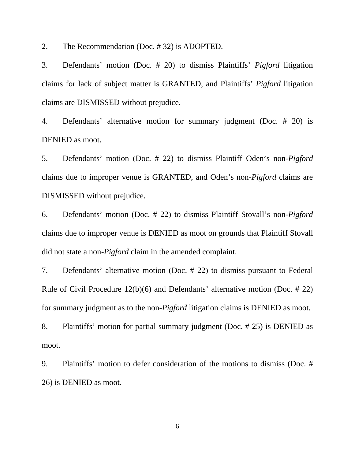2. The Recommendation (Doc. # 32) is ADOPTED.

3. Defendants' motion (Doc. # 20) to dismiss Plaintiffs' *Pigford* litigation claims for lack of subject matter is GRANTED, and Plaintiffs' *Pigford* litigation claims are DISMISSED without prejudice.

4. Defendants' alternative motion for summary judgment (Doc. # 20) is DENIED as moot.

5. Defendants' motion (Doc. # 22) to dismiss Plaintiff Oden's non-*Pigford* claims due to improper venue is GRANTED, and Oden's non-*Pigford* claims are DISMISSED without prejudice.

6. Defendants' motion (Doc. # 22) to dismiss Plaintiff Stovall's non-*Pigford* claims due to improper venue is DENIED as moot on grounds that Plaintiff Stovall did not state a non-*Pigford* claim in the amended complaint.

7. Defendants' alternative motion (Doc. # 22) to dismiss pursuant to Federal Rule of Civil Procedure 12(b)(6) and Defendants' alternative motion (Doc. # 22) for summary judgment as to the non-*Pigford* litigation claims is DENIED as moot.

8. Plaintiffs' motion for partial summary judgment (Doc. # 25) is DENIED as moot.

9. Plaintiffs' motion to defer consideration of the motions to dismiss (Doc. # 26) is DENIED as moot.

6